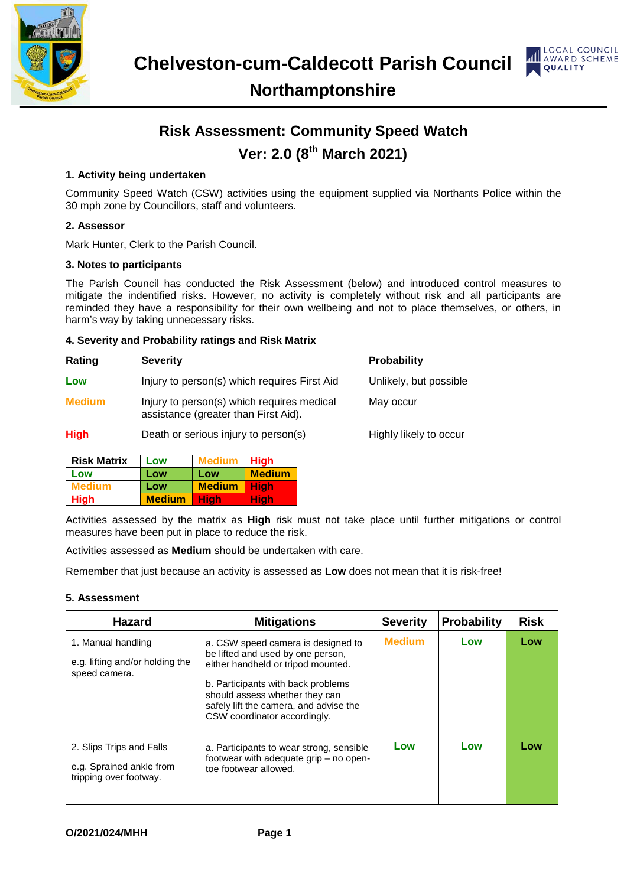



### **Northamptonshire**

## **Risk Assessment: Community Speed Watch Ver: 2.0 (8th March 2021)**

#### **1. Activity being undertaken**

Community Speed Watch (CSW) activities using the equipment supplied via Northants Police within the 30 mph zone by Councillors, staff and volunteers.

#### **2. Assessor**

Mark Hunter, Clerk to the Parish Council.

#### **3. Notes to participants**

The Parish Council has conducted the Risk Assessment (below) and introduced control measures to mitigate the indentified risks. However, no activity is completely without risk and all participants are reminded they have a responsibility for their own wellbeing and not to place themselves, or others, in harm's way by taking unnecessary risks.

#### **4. Severity and Probability ratings and Risk Matrix**

| Rating        | <b>Severity</b>                                                                    | <b>Probability</b>     |
|---------------|------------------------------------------------------------------------------------|------------------------|
| Low           | Injury to person(s) which requires First Aid                                       | Unlikely, but possible |
| <b>Medium</b> | Injury to person(s) which requires medical<br>assistance (greater than First Aid). | May occur              |
| <b>High</b>   | Death or serious injury to person(s)                                               | Highly likely to occur |

| <b>Risk Matrix</b> | Low           | Medium        | <b>High</b>   |
|--------------------|---------------|---------------|---------------|
| Low                | Low           | Low           | <b>Medium</b> |
| Medium             | Low           | <b>Medium</b> | Hiah          |
| <b>High</b>        | <b>Medium</b> | <b>High</b>   | Hiah'         |

Activities assessed by the matrix as **High** risk must not take place until further mitigations or control measures have been put in place to reduce the risk.

Activities assessed as **Medium** should be undertaken with care.

Remember that just because an activity is assessed as **Low** does not mean that it is risk-free!

#### **5. Assessment**

| <b>Hazard</b>                                                                  | <b>Mitigations</b>                                                                                                                                                                                                                                              | <b>Severity</b> | <b>Probability</b> | <b>Risk</b> |
|--------------------------------------------------------------------------------|-----------------------------------------------------------------------------------------------------------------------------------------------------------------------------------------------------------------------------------------------------------------|-----------------|--------------------|-------------|
| 1. Manual handling<br>e.g. lifting and/or holding the<br>speed camera.         | a. CSW speed camera is designed to<br>be lifted and used by one person,<br>either handheld or tripod mounted.<br>b. Participants with back problems<br>should assess whether they can<br>safely lift the camera, and advise the<br>CSW coordinator accordingly. | <b>Medium</b>   | Low                | Low         |
| 2. Slips Trips and Falls<br>e.g. Sprained ankle from<br>tripping over footway. | a. Participants to wear strong, sensible<br>footwear with adequate grip – no open-<br>toe footwear allowed.                                                                                                                                                     | Low             | Low                | Low         |